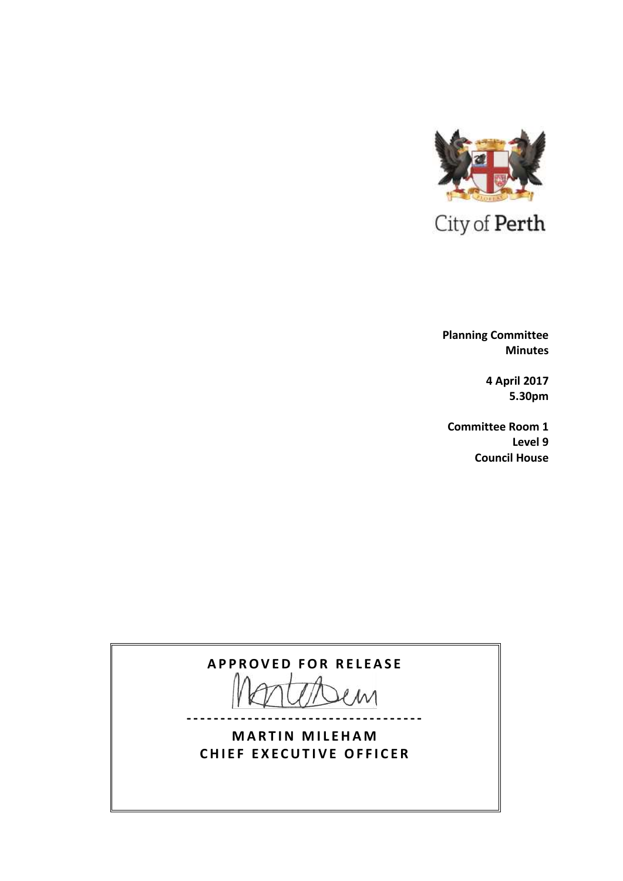

 **Planning Committee Minutes**

> **4 April 2017 5.30pm**

**Committee Room 1 Level 9 Council House**

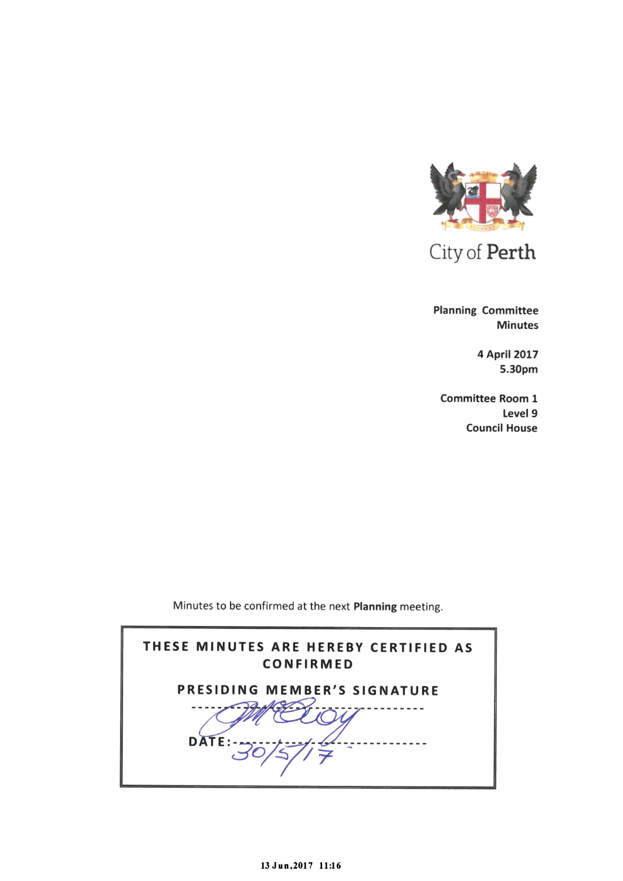

City of Perth

Planning Committee Minutes

> 4 April 2017 5.30pm

Committee Room 1 Level 9 Council House

Minutes to be confirmed at the next Planning meeting.

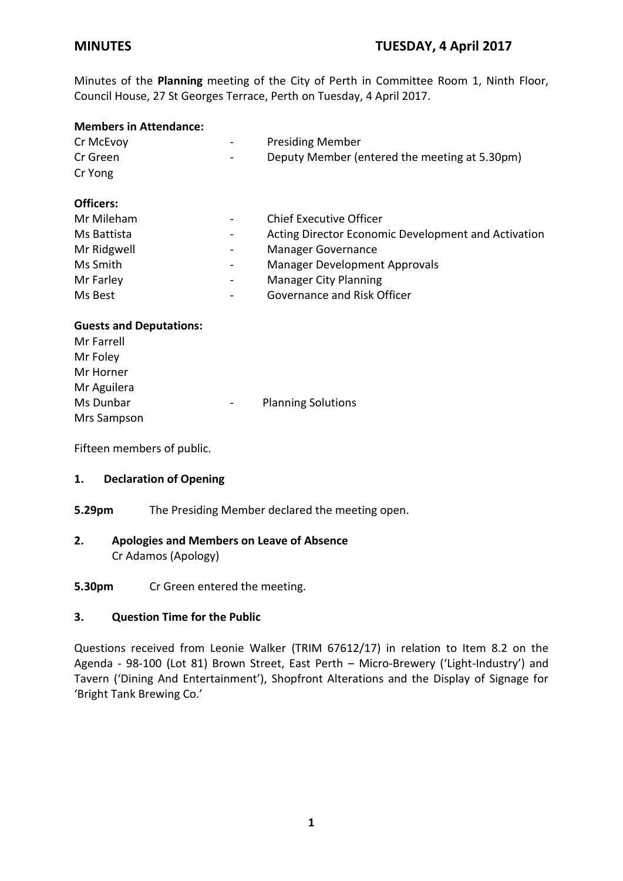Minutes of the **Planning** meeting of the City of Perth in Committee Room 1, Ninth Floor, Council House, 27 St Georges Terrace, Perth on Tuesday, 4 April 2017.

### **Members in Attendance:**

| Cr McEvoy<br>Cr Green<br>Cr Yong |   | <b>Presiding Member</b><br>Deputy Member (entered the meeting at 5.30pm) |
|----------------------------------|---|--------------------------------------------------------------------------|
| <b>Officers:</b>                 |   |                                                                          |
| Mr Mileham                       |   | Chief Executive Officer                                                  |
| Ms Battista                      |   | Acting Director Economic Development and Activation                      |
| Mr Ridgwell                      |   | <b>Manager Governance</b>                                                |
| Ms Smith                         |   | <b>Manager Development Approvals</b>                                     |
| Mr Farley                        |   | <b>Manager City Planning</b>                                             |
| Ms Best                          | - | Governance and Risk Officer                                              |

### **Guests and Deputations:**

| Mr Farrell  |                           |
|-------------|---------------------------|
| Mr Foley    |                           |
| Mr Horner   |                           |
| Mr Aguilera |                           |
| Ms Dunbar   | <b>Planning Solutions</b> |
| Mrs Sampson |                           |

Fifteen members of public.

### **1. Declaration of Opening**

**5.29pm** The Presiding Member declared the meeting open.

### **2. Apologies and Members on Leave of Absence** Cr Adamos (Apology)

**5.30pm** Cr Green entered the meeting.

### **3. Question Time for the Public**

Questions received from Leonie Walker (TRIM 67612/17) in relation to Item 8.2 on the Agenda - 98-100 (Lot 81) Brown Street, East Perth – Micro-Brewery ('Light-Industry') and Tavern ('Dining And Entertainment'), Shopfront Alterations and the Display of Signage for 'Bright Tank Brewing Co.'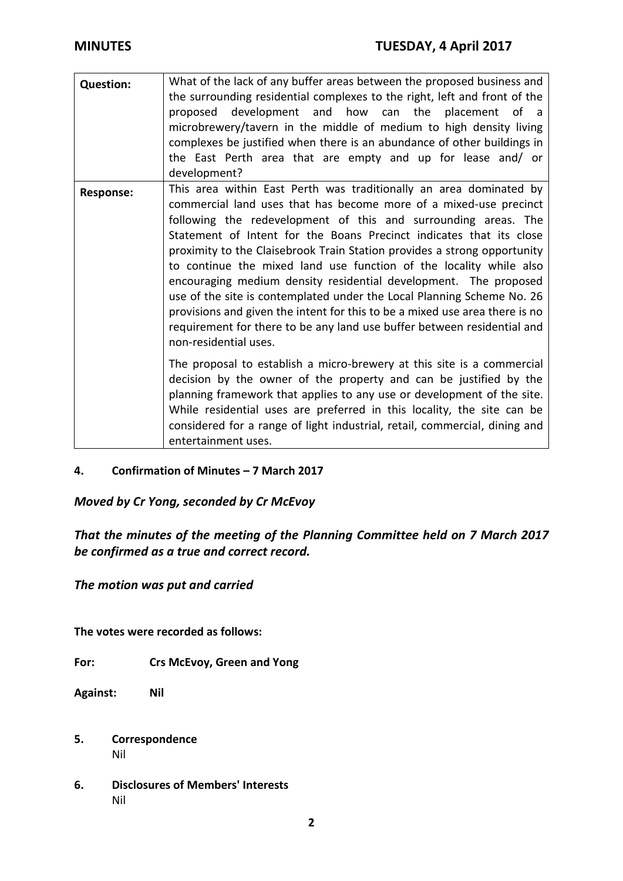| <b>Question:</b> | What of the lack of any buffer areas between the proposed business and<br>the surrounding residential complexes to the right, left and front of the<br>development and how can the<br>placement of a<br>proposed<br>microbrewery/tavern in the middle of medium to high density living<br>complexes be justified when there is an abundance of other buildings in<br>the East Perth area that are empty and up for lease and/ or<br>development?                                                                                                                                                                                                                                                                                                                    |
|------------------|---------------------------------------------------------------------------------------------------------------------------------------------------------------------------------------------------------------------------------------------------------------------------------------------------------------------------------------------------------------------------------------------------------------------------------------------------------------------------------------------------------------------------------------------------------------------------------------------------------------------------------------------------------------------------------------------------------------------------------------------------------------------|
| <b>Response:</b> | This area within East Perth was traditionally an area dominated by<br>commercial land uses that has become more of a mixed-use precinct<br>following the redevelopment of this and surrounding areas. The<br>Statement of Intent for the Boans Precinct indicates that its close<br>proximity to the Claisebrook Train Station provides a strong opportunity<br>to continue the mixed land use function of the locality while also<br>encouraging medium density residential development. The proposed<br>use of the site is contemplated under the Local Planning Scheme No. 26<br>provisions and given the intent for this to be a mixed use area there is no<br>requirement for there to be any land use buffer between residential and<br>non-residential uses. |
|                  | The proposal to establish a micro-brewery at this site is a commercial<br>decision by the owner of the property and can be justified by the<br>planning framework that applies to any use or development of the site.<br>While residential uses are preferred in this locality, the site can be<br>considered for a range of light industrial, retail, commercial, dining and<br>entertainment uses.                                                                                                                                                                                                                                                                                                                                                                |

### **4. Confirmation of Minutes – 7 March 2017**

*Moved by Cr Yong, seconded by Cr McEvoy* 

*That the minutes of the meeting of the Planning Committee held on 7 March 2017 be confirmed as a true and correct record.*

*The motion was put and carried*

**The votes were recorded as follows:**

**For: Crs McEvoy, Green and Yong**

**Against: Nil**

- **5. Correspondence** Nil
- **6. Disclosures of Members' Interests** Nil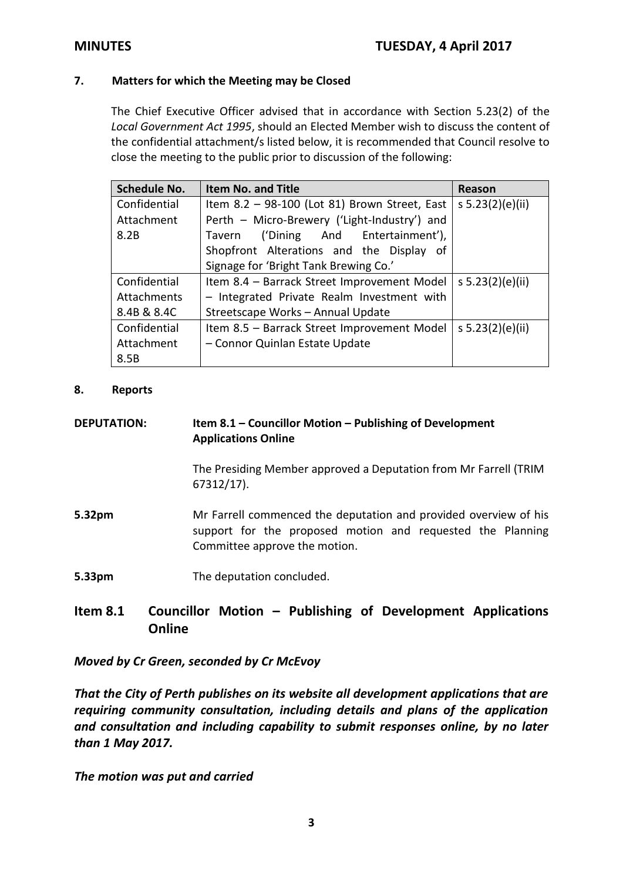### **7. Matters for which the Meeting may be Closed**

The Chief Executive Officer advised that in accordance with Section 5.23(2) of the *Local Government Act 1995*, should an Elected Member wish to discuss the content of the confidential attachment/s listed below, it is recommended that Council resolve to close the meeting to the public prior to discussion of the following:

| <b>Schedule No.</b> | <b>Item No. and Title</b>                     | Reason           |
|---------------------|-----------------------------------------------|------------------|
| Confidential        | Item 8.2 - 98-100 (Lot 81) Brown Street, East | s 5.23(2)(e)(ii) |
| Attachment          | Perth - Micro-Brewery ('Light-Industry') and  |                  |
| 8.2B                | ('Dining And Entertainment'),<br>Tavern       |                  |
|                     | Shopfront Alterations and the Display of      |                  |
|                     | Signage for 'Bright Tank Brewing Co.'         |                  |
| Confidential        | Item 8.4 - Barrack Street Improvement Model   | s 5.23(2)(e)(ii) |
| Attachments         | - Integrated Private Realm Investment with    |                  |
| 8.4B & 8.4C         | Streetscape Works - Annual Update             |                  |
| Confidential        | Item 8.5 - Barrack Street Improvement Model   | s 5.23(2)(e)(ii) |
| Attachment          | - Connor Quinlan Estate Update                |                  |
| 8.5B                |                                               |                  |

### **8. Reports**

| <b>DEPUTATION:</b> | Item 8.1 – Councillor Motion – Publishing of Development<br><b>Applications Online</b>                                                                          |
|--------------------|-----------------------------------------------------------------------------------------------------------------------------------------------------------------|
|                    | The Presiding Member approved a Deputation from Mr Farrell (TRIM<br>$67312/17$ ).                                                                               |
| 5.32pm             | Mr Farrell commenced the deputation and provided overview of his<br>support for the proposed motion and requested the Planning<br>Committee approve the motion. |
| 5.33pm             | The deputation concluded.                                                                                                                                       |

# **Item 8.1 Councillor Motion – Publishing of Development Applications Online**

*Moved by Cr Green, seconded by Cr McEvoy* 

*That the City of Perth publishes on its website all development applications that are requiring community consultation, including details and plans of the application and consultation and including capability to submit responses online, by no later than 1 May 2017.*

*The motion was put and carried*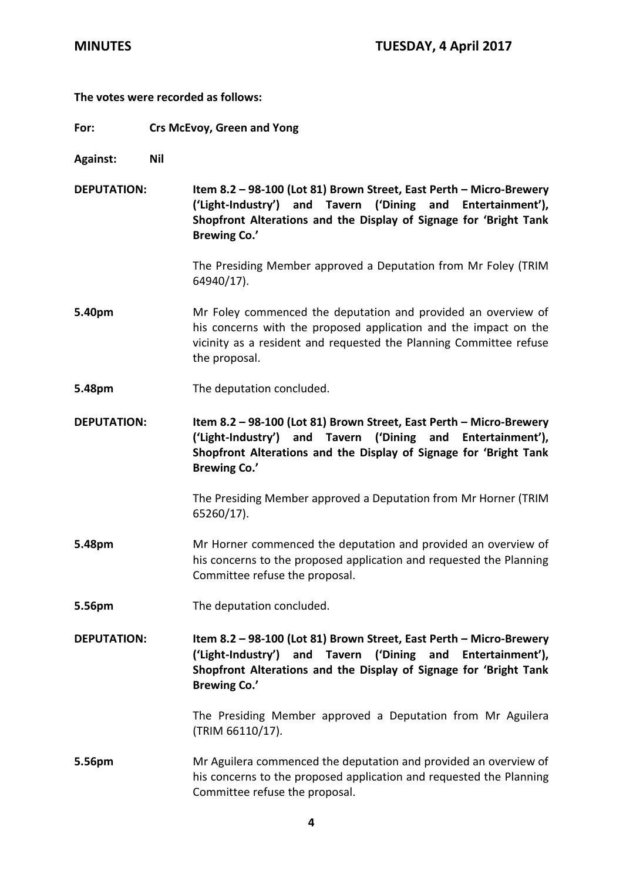### **The votes were recorded as follows:**

- **For: Crs McEvoy, Green and Yong**
- **Against: Nil**

**DEPUTATION: Item 8.2 – 98-100 (Lot 81) Brown Street, East Perth – Micro-Brewery ('Light-Industry') and Tavern ('Dining and Entertainment'), Shopfront Alterations and the Display of Signage for 'Bright Tank Brewing Co.'**

> The Presiding Member approved a Deputation from Mr Foley (TRIM 64940/17).

- **5.40pm** Mr Foley commenced the deputation and provided an overview of his concerns with the proposed application and the impact on the vicinity as a resident and requested the Planning Committee refuse the proposal.
- **5.48pm** The deputation concluded.

**DEPUTATION: Item 8.2 – 98-100 (Lot 81) Brown Street, East Perth – Micro-Brewery ('Light-Industry') and Tavern ('Dining and Entertainment'), Shopfront Alterations and the Display of Signage for 'Bright Tank Brewing Co.'**

> The Presiding Member approved a Deputation from Mr Horner (TRIM 65260/17).

- **5.48pm** Mr Horner commenced the deputation and provided an overview of his concerns to the proposed application and requested the Planning Committee refuse the proposal.
- **5.56pm** The deputation concluded.

**DEPUTATION: Item 8.2 – 98-100 (Lot 81) Brown Street, East Perth – Micro-Brewery ('Light-Industry') and Tavern ('Dining and Entertainment'), Shopfront Alterations and the Display of Signage for 'Bright Tank Brewing Co.'**

> The Presiding Member approved a Deputation from Mr Aguilera (TRIM 66110/17).

**5.56pm** Mr Aguilera commenced the deputation and provided an overview of his concerns to the proposed application and requested the Planning Committee refuse the proposal.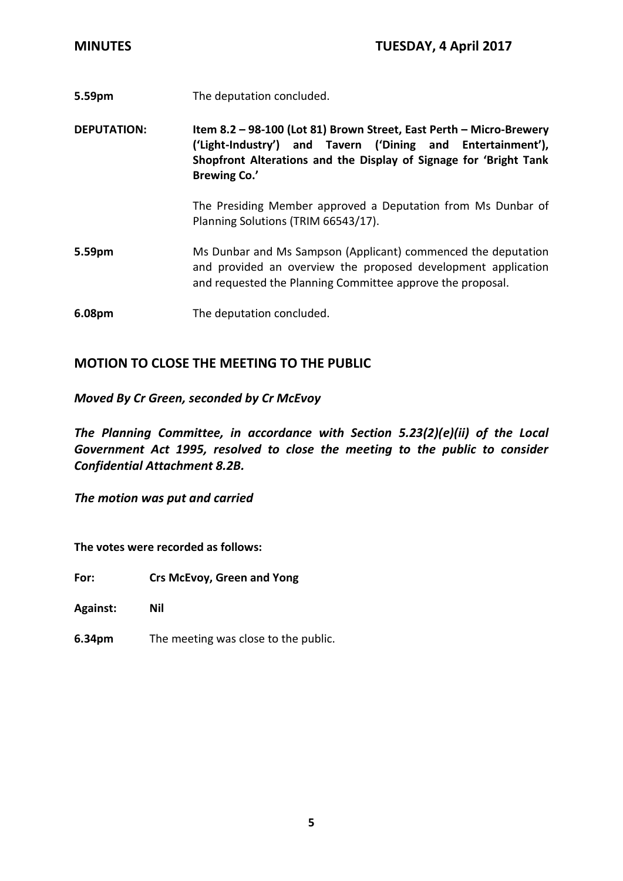**5.59pm** The deputation concluded.

**DEPUTATION: Item 8.2 – 98-100 (Lot 81) Brown Street, East Perth – Micro-Brewery ('Light-Industry') and Tavern ('Dining and Entertainment'), Shopfront Alterations and the Display of Signage for 'Bright Tank Brewing Co.'**

> The Presiding Member approved a Deputation from Ms Dunbar of Planning Solutions (TRIM 66543/17).

- **5.59pm** Ms Dunbar and Ms Sampson (Applicant) commenced the deputation and provided an overview the proposed development application and requested the Planning Committee approve the proposal.
- **6.08pm** The deputation concluded.

## **MOTION TO CLOSE THE MEETING TO THE PUBLIC**

### *Moved By Cr Green, seconded by Cr McEvoy*

*The Planning Committee, in accordance with Section 5.23(2)(e)(ii) of the Local Government Act 1995, resolved to close the meeting to the public to consider Confidential Attachment 8.2B.* 

*The motion was put and carried*

**The votes were recorded as follows:**

**For: Crs McEvoy, Green and Yong**

**Against: Nil**

**6.34pm** The meeting was close to the public.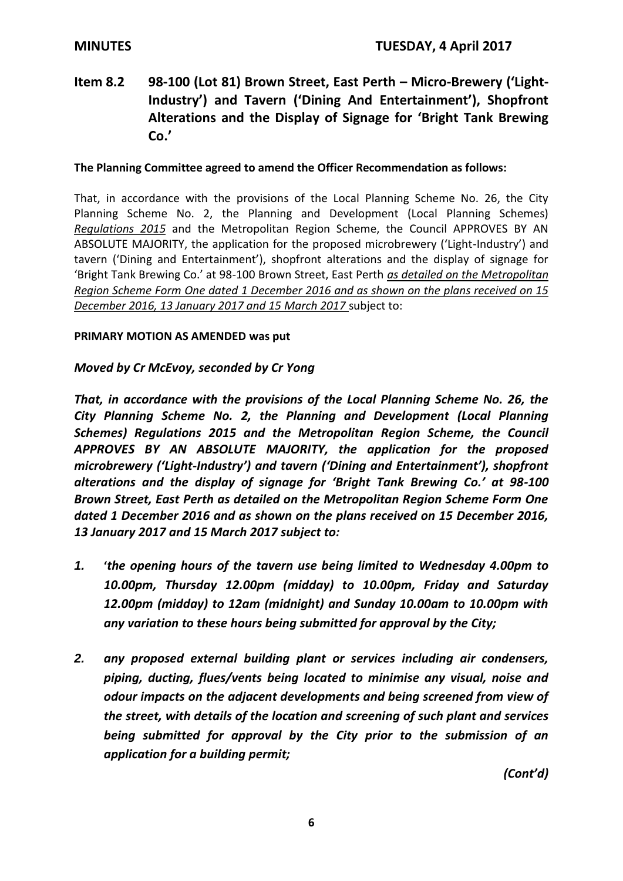# **Item 8.2 98-100 (Lot 81) Brown Street, East Perth – Micro-Brewery ('Light-Industry') and Tavern ('Dining And Entertainment'), Shopfront Alterations and the Display of Signage for 'Bright Tank Brewing Co.'**

### **The Planning Committee agreed to amend the Officer Recommendation as follows:**

That, in accordance with the provisions of the Local Planning Scheme No. 26, the City Planning Scheme No. 2, the Planning and Development (Local Planning Schemes) *Regulations 2015* and the Metropolitan Region Scheme, the Council APPROVES BY AN ABSOLUTE MAJORITY, the application for the proposed microbrewery ('Light-Industry') and tavern ('Dining and Entertainment'), shopfront alterations and the display of signage for 'Bright Tank Brewing Co.' at 98-100 Brown Street, East Perth *as detailed on the Metropolitan Region Scheme Form One dated 1 December 2016 and as shown on the plans received on 15 December 2016, 13 January 2017 and 15 March 2017* subject to:

### **PRIMARY MOTION AS AMENDED was put**

### *Moved by Cr McEvoy, seconded by Cr Yong*

*That, in accordance with the provisions of the Local Planning Scheme No. 26, the City Planning Scheme No. 2, the Planning and Development (Local Planning Schemes) Regulations 2015 and the Metropolitan Region Scheme, the Council APPROVES BY AN ABSOLUTE MAJORITY, the application for the proposed microbrewery ('Light-Industry') and tavern ('Dining and Entertainment'), shopfront alterations and the display of signage for 'Bright Tank Brewing Co.' at 98-100 Brown Street, East Perth as detailed on the Metropolitan Region Scheme Form One dated 1 December 2016 and as shown on the plans received on 15 December 2016, 13 January 2017 and 15 March 2017 subject to:*

- *1.* **'***the opening hours of the tavern use being limited to Wednesday 4.00pm to 10.00pm, Thursday 12.00pm (midday) to 10.00pm, Friday and Saturday 12.00pm (midday) to 12am (midnight) and Sunday 10.00am to 10.00pm with any variation to these hours being submitted for approval by the City;*
- *2. any proposed external building plant or services including air condensers, piping, ducting, flues/vents being located to minimise any visual, noise and odour impacts on the adjacent developments and being screened from view of the street, with details of the location and screening of such plant and services being submitted for approval by the City prior to the submission of an application for a building permit;*

*(Cont'd)*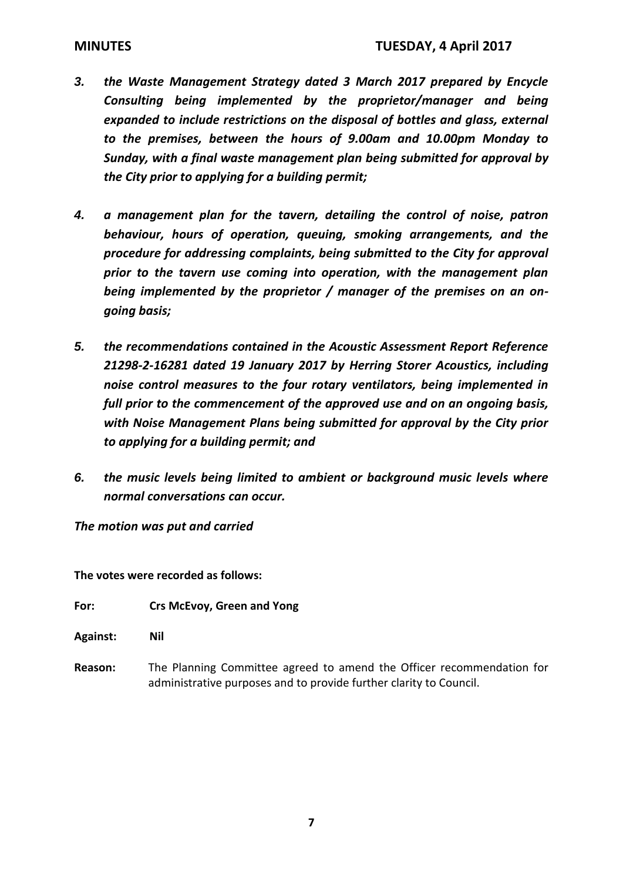- *3. the Waste Management Strategy dated 3 March 2017 prepared by Encycle Consulting being implemented by the proprietor/manager and being expanded to include restrictions on the disposal of bottles and glass, external to the premises, between the hours of 9.00am and 10.00pm Monday to Sunday, with a final waste management plan being submitted for approval by the City prior to applying for a building permit;*
- *4. a management plan for the tavern, detailing the control of noise, patron behaviour, hours of operation, queuing, smoking arrangements, and the procedure for addressing complaints, being submitted to the City for approval prior to the tavern use coming into operation, with the management plan being implemented by the proprietor / manager of the premises on an ongoing basis;*
- *5. the recommendations contained in the Acoustic Assessment Report Reference 21298-2-16281 dated 19 January 2017 by Herring Storer Acoustics, including noise control measures to the four rotary ventilators, being implemented in full prior to the commencement of the approved use and on an ongoing basis, with Noise Management Plans being submitted for approval by the City prior to applying for a building permit; and*
- *6. the music levels being limited to ambient or background music levels where normal conversations can occur.*

*The motion was put and carried*

**The votes were recorded as follows:**

- **For: Crs McEvoy, Green and Yong**
- **Against: Nil**
- **Reason:** The Planning Committee agreed to amend the Officer recommendation for administrative purposes and to provide further clarity to Council.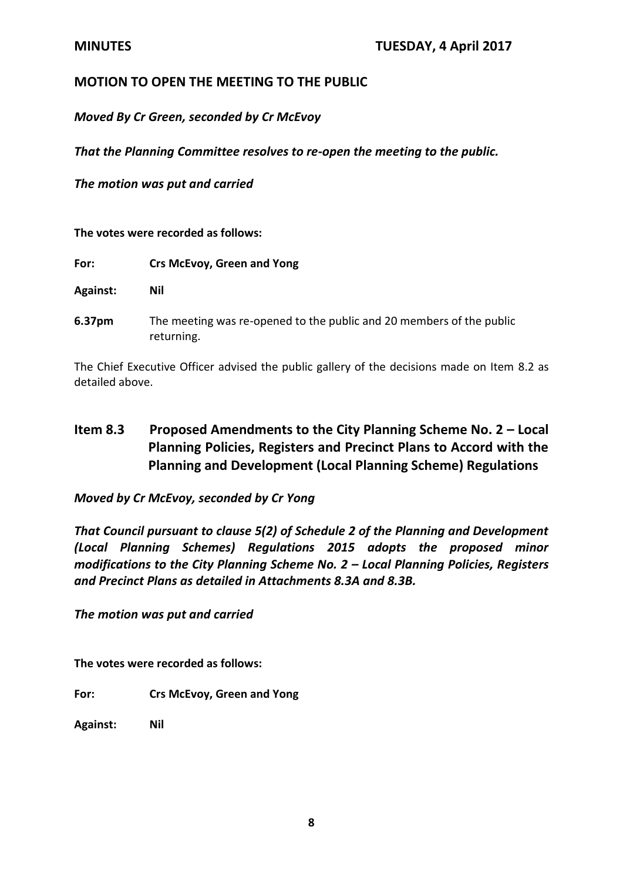## **MOTION TO OPEN THE MEETING TO THE PUBLIC**

*Moved By Cr Green, seconded by Cr McEvoy* 

*That the Planning Committee resolves to re-open the meeting to the public.*

*The motion was put and carried*

**The votes were recorded as follows:**

| For: | Crs McEvoy, Green and Yong |
|------|----------------------------|
|------|----------------------------|

**Against: Nil** 

**6.37pm** The meeting was re-opened to the public and 20 members of the public returning.

The Chief Executive Officer advised the public gallery of the decisions made on Item 8.2 as detailed above.

# **Item 8.3 Proposed Amendments to the City Planning Scheme No. 2 – Local Planning Policies, Registers and Precinct Plans to Accord with the Planning and Development (Local Planning Scheme) Regulations**

*Moved by Cr McEvoy, seconded by Cr Yong*

*That Council pursuant to clause 5(2) of Schedule 2 of the Planning and Development (Local Planning Schemes) Regulations 2015 adopts the proposed minor modifications to the City Planning Scheme No. 2 – Local Planning Policies, Registers and Precinct Plans as detailed in Attachments 8.3A and 8.3B.*

*The motion was put and carried*

**The votes were recorded as follows:**

**For: Crs McEvoy, Green and Yong**

**Against: Nil**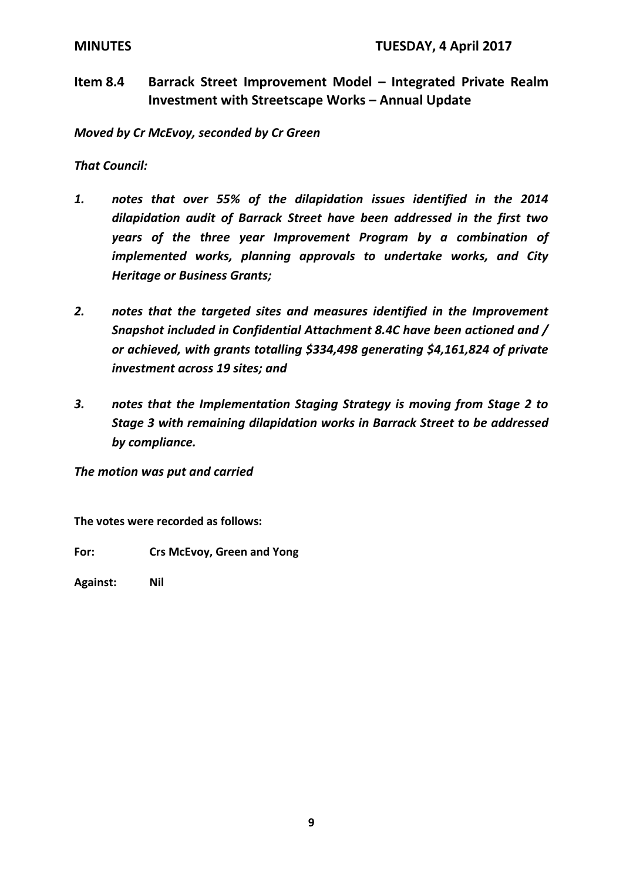**Item 8.4 Barrack Street Improvement Model – Integrated Private Realm Investment with Streetscape Works – Annual Update**

*Moved by Cr McEvoy, seconded by Cr Green*

*That Council:*

- *1. notes that over 55% of the dilapidation issues identified in the 2014 dilapidation audit of Barrack Street have been addressed in the first two years of the three year Improvement Program by a combination of implemented works, planning approvals to undertake works, and City Heritage or Business Grants;*
- *2. notes that the targeted sites and measures identified in the Improvement Snapshot included in Confidential Attachment 8.4C have been actioned and / or achieved, with grants totalling \$334,498 generating \$4,161,824 of private investment across 19 sites; and*
- *3. notes that the Implementation Staging Strategy is moving from Stage 2 to Stage 3 with remaining dilapidation works in Barrack Street to be addressed by compliance.*

*The motion was put and carried*

**The votes were recorded as follows:**

**For: Crs McEvoy, Green and Yong**

**Against: Nil**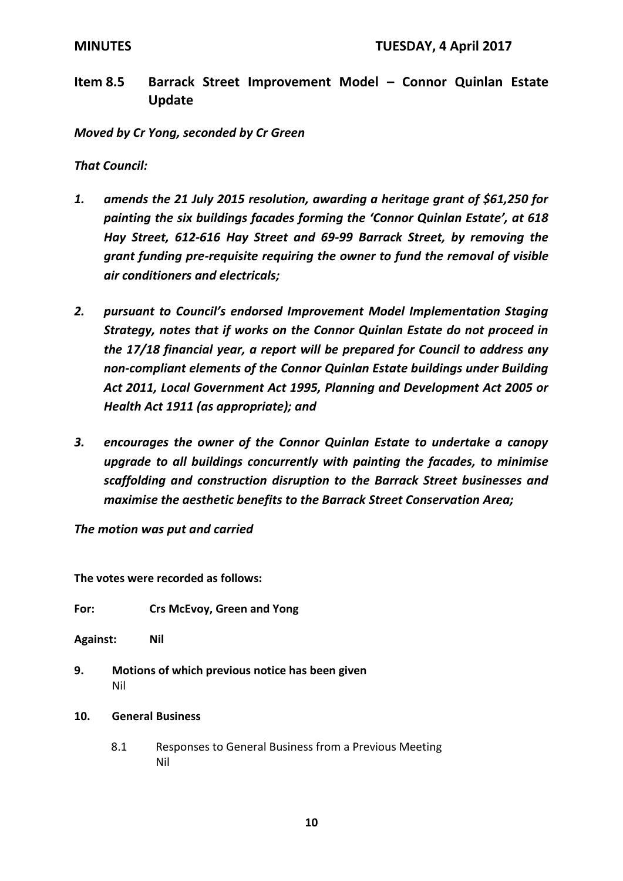**Item 8.5 Barrack Street Improvement Model – Connor Quinlan Estate Update**

*Moved by Cr Yong, seconded by Cr Green*

*That Council:*

- *1. amends the 21 July 2015 resolution, awarding a heritage grant of \$61,250 for painting the six buildings facades forming the 'Connor Quinlan Estate', at 618 Hay Street, 612-616 Hay Street and 69-99 Barrack Street, by removing the grant funding pre-requisite requiring the owner to fund the removal of visible air conditioners and electricals;*
- *2. pursuant to Council's endorsed Improvement Model Implementation Staging Strategy, notes that if works on the Connor Quinlan Estate do not proceed in the 17/18 financial year, a report will be prepared for Council to address any non-compliant elements of the Connor Quinlan Estate buildings under Building Act 2011, Local Government Act 1995, Planning and Development Act 2005 or Health Act 1911 (as appropriate); and*
- *3. encourages the owner of the Connor Quinlan Estate to undertake a canopy upgrade to all buildings concurrently with painting the facades, to minimise scaffolding and construction disruption to the Barrack Street businesses and maximise the aesthetic benefits to the Barrack Street Conservation Area;*

*The motion was put and carried*

**The votes were recorded as follows:**

- **For: Crs McEvoy, Green and Yong**
- **Against: Nil**
- **9. Motions of which previous notice has been given** Nil
- **10. General Business**
	- 8.1 Responses to General Business from a Previous Meeting Nil